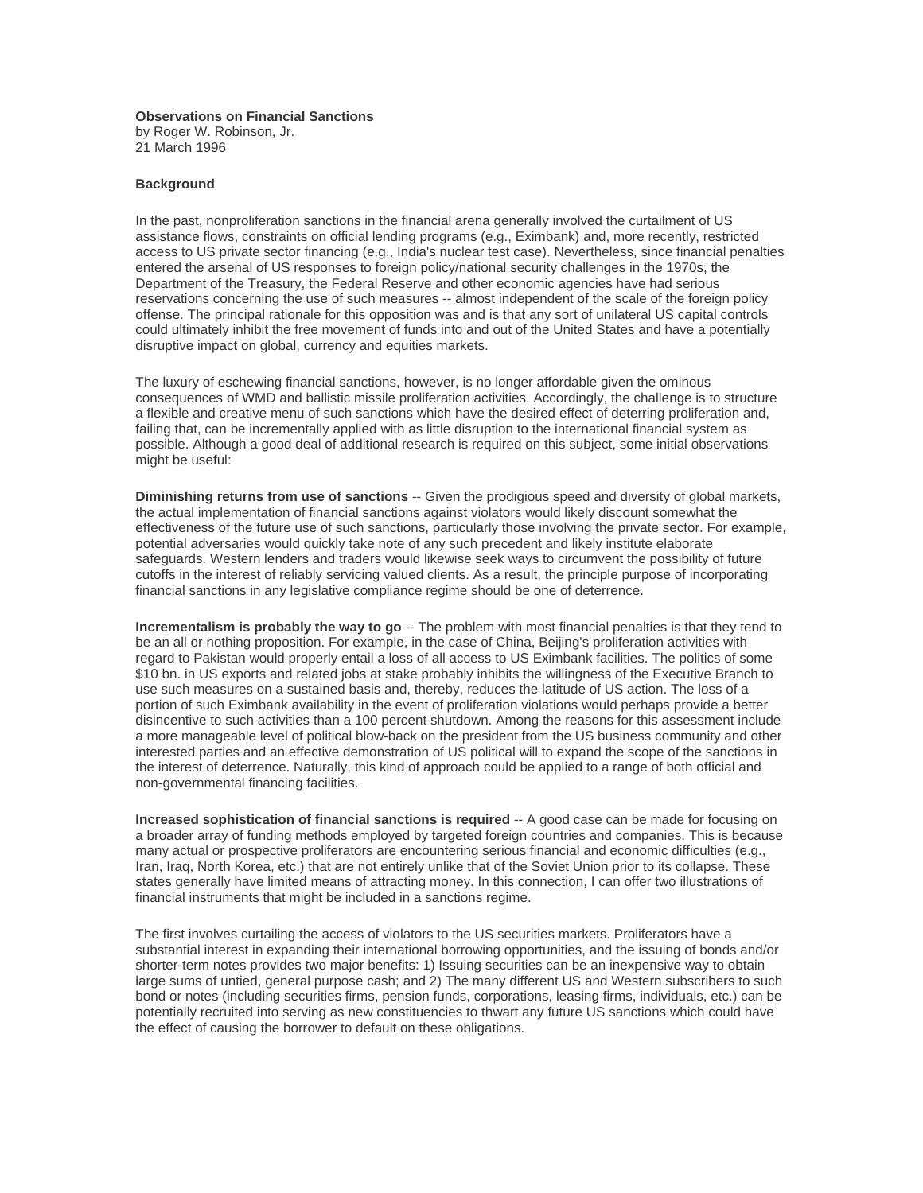## **Observations on Financial Sanctions**

by Roger W. Robinson, Jr. 21 March 1996

## **Background**

In the past, nonproliferation sanctions in the financial arena generally involved the curtailment of US assistance flows, constraints on official lending programs (e.g., Eximbank) and, more recently, restricted access to US private sector financing (e.g., India's nuclear test case). Nevertheless, since financial penalties entered the arsenal of US responses to foreign policy/national security challenges in the 1970s, the Department of the Treasury, the Federal Reserve and other economic agencies have had serious reservations concerning the use of such measures -- almost independent of the scale of the foreign policy offense. The principal rationale for this opposition was and is that any sort of unilateral US capital controls could ultimately inhibit the free movement of funds into and out of the United States and have a potentially disruptive impact on global, currency and equities markets.

The luxury of eschewing financial sanctions, however, is no longer affordable given the ominous consequences of WMD and ballistic missile proliferation activities. Accordingly, the challenge is to structure a flexible and creative menu of such sanctions which have the desired effect of deterring proliferation and, failing that, can be incrementally applied with as little disruption to the international financial system as possible. Although a good deal of additional research is required on this subject, some initial observations might be useful:

**Diminishing returns from use of sanctions** -- Given the prodigious speed and diversity of global markets, the actual implementation of financial sanctions against violators would likely discount somewhat the effectiveness of the future use of such sanctions, particularly those involving the private sector. For example, potential adversaries would quickly take note of any such precedent and likely institute elaborate safeguards. Western lenders and traders would likewise seek ways to circumvent the possibility of future cutoffs in the interest of reliably servicing valued clients. As a result, the principle purpose of incorporating financial sanctions in any legislative compliance regime should be one of deterrence.

**Incrementalism is probably the way to go** -- The problem with most financial penalties is that they tend to be an all or nothing proposition. For example, in the case of China, Beijing's proliferation activities with regard to Pakistan would properly entail a loss of all access to US Eximbank facilities. The politics of some \$10 bn. in US exports and related jobs at stake probably inhibits the willingness of the Executive Branch to use such measures on a sustained basis and, thereby, reduces the latitude of US action. The loss of a portion of such Eximbank availability in the event of proliferation violations would perhaps provide a better disincentive to such activities than a 100 percent shutdown. Among the reasons for this assessment include a more manageable level of political blow-back on the president from the US business community and other interested parties and an effective demonstration of US political will to expand the scope of the sanctions in the interest of deterrence. Naturally, this kind of approach could be applied to a range of both official and non-governmental financing facilities.

**Increased sophistication of financial sanctions is required** -- A good case can be made for focusing on a broader array of funding methods employed by targeted foreign countries and companies. This is because many actual or prospective proliferators are encountering serious financial and economic difficulties (e.g., Iran, Iraq, North Korea, etc.) that are not entirely unlike that of the Soviet Union prior to its collapse. These states generally have limited means of attracting money. In this connection, I can offer two illustrations of financial instruments that might be included in a sanctions regime.

The first involves curtailing the access of violators to the US securities markets. Proliferators have a substantial interest in expanding their international borrowing opportunities, and the issuing of bonds and/or shorter-term notes provides two major benefits: 1) Issuing securities can be an inexpensive way to obtain large sums of untied, general purpose cash; and 2) The many different US and Western subscribers to such bond or notes (including securities firms, pension funds, corporations, leasing firms, individuals, etc.) can be potentially recruited into serving as new constituencies to thwart any future US sanctions which could have the effect of causing the borrower to default on these obligations.